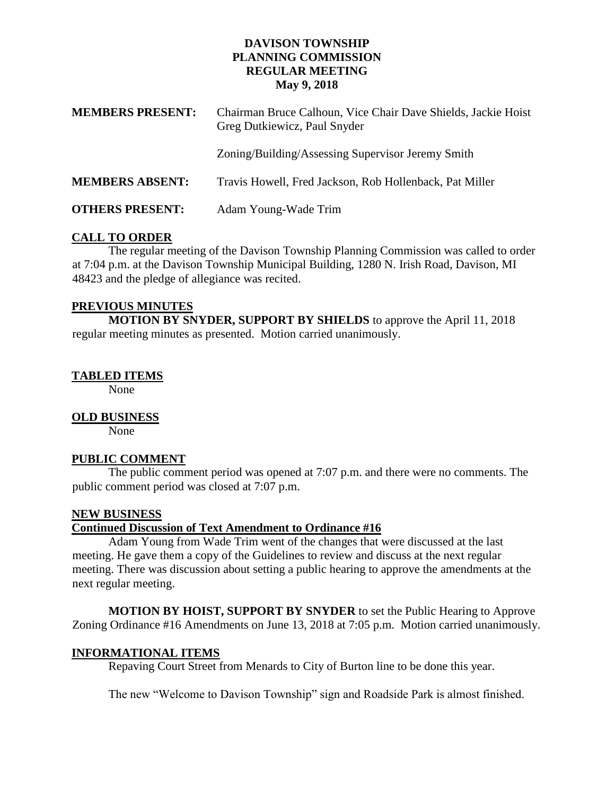#### **DAVISON TOWNSHIP PLANNING COMMISSION REGULAR MEETING May 9, 2018**

| <b>MEMBERS PRESENT:</b> | Chairman Bruce Calhoun, Vice Chair Dave Shields, Jackie Hoist<br>Greg Dutkiewicz, Paul Snyder |
|-------------------------|-----------------------------------------------------------------------------------------------|
|                         | Zoning/Building/Assessing Supervisor Jeremy Smith                                             |
| <b>MEMBERS ABSENT:</b>  | Travis Howell, Fred Jackson, Rob Hollenback, Pat Miller                                       |
| <b>OTHERS PRESENT:</b>  | Adam Young-Wade Trim                                                                          |

### **CALL TO ORDER**

The regular meeting of the Davison Township Planning Commission was called to order at 7:04 p.m. at the Davison Township Municipal Building, 1280 N. Irish Road, Davison, MI 48423 and the pledge of allegiance was recited.

### **PREVIOUS MINUTES**

**MOTION BY SNYDER, SUPPORT BY SHIELDS** to approve the April 11, 2018 regular meeting minutes as presented. Motion carried unanimously.

## **TABLED ITEMS**

None

### **OLD BUSINESS**

None

### **PUBLIC COMMENT**

The public comment period was opened at 7:07 p.m. and there were no comments. The public comment period was closed at 7:07 p.m.

### **NEW BUSINESS**

### **Continued Discussion of Text Amendment to Ordinance #16**

Adam Young from Wade Trim went of the changes that were discussed at the last meeting. He gave them a copy of the Guidelines to review and discuss at the next regular meeting. There was discussion about setting a public hearing to approve the amendments at the next regular meeting.

**MOTION BY HOIST, SUPPORT BY SNYDER** to set the Public Hearing to Approve Zoning Ordinance #16 Amendments on June 13, 2018 at 7:05 p.m. Motion carried unanimously.

### **INFORMATIONAL ITEMS**

Repaving Court Street from Menards to City of Burton line to be done this year.

The new "Welcome to Davison Township" sign and Roadside Park is almost finished.